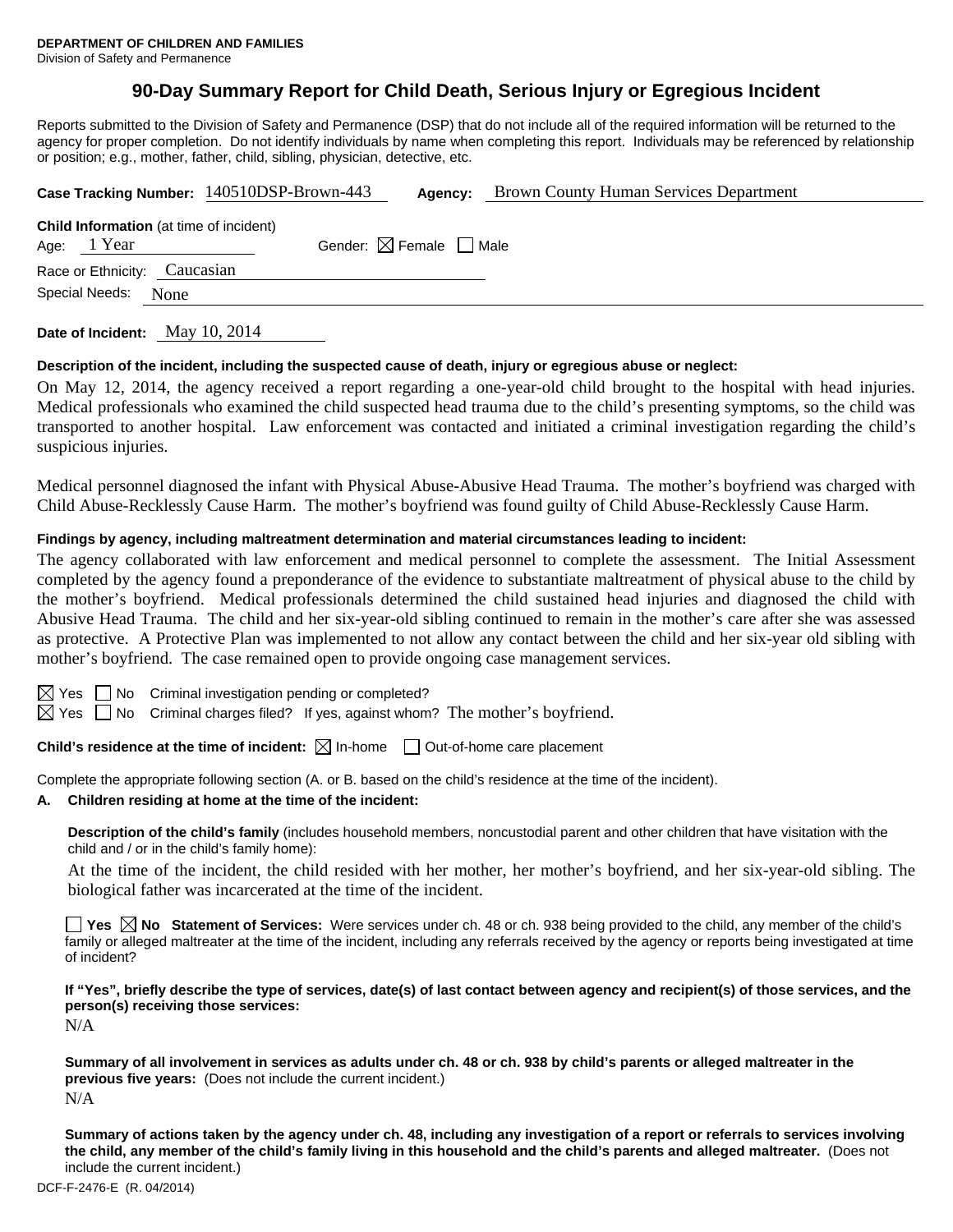# **90-Day Summary Report for Child Death, Serious Injury or Egregious Incident**

Reports submitted to the Division of Safety and Permanence (DSP) that do not include all of the required information will be returned to the agency for proper completion. Do not identify individuals by name when completing this report. Individuals may be referenced by relationship or position; e.g., mother, father, child, sibling, physician, detective, etc.

|                                                                                                         | Case Tracking Number: 140510DSP-Brown-443 | Agency: | <b>Brown County Human Services Department</b> |  |  |  |  |
|---------------------------------------------------------------------------------------------------------|-------------------------------------------|---------|-----------------------------------------------|--|--|--|--|
| <b>Child Information</b> (at time of incident)<br>Gender: $\boxtimes$ Female $\Box$ Male<br>Age: 1 Year |                                           |         |                                               |  |  |  |  |
| Race or Ethnicity: Caucasian                                                                            |                                           |         |                                               |  |  |  |  |
| Special Needs:<br>None                                                                                  |                                           |         |                                               |  |  |  |  |
|                                                                                                         |                                           |         |                                               |  |  |  |  |

**Date of Incident:** May 10, 2014

#### **Description of the incident, including the suspected cause of death, injury or egregious abuse or neglect:**

On May 12, 2014, the agency received a report regarding a one-year-old child brought to the hospital with head injuries. Medical professionals who examined the child suspected head trauma due to the child's presenting symptoms, so the child was transported to another hospital. Law enforcement was contacted and initiated a criminal investigation regarding the child's suspicious injuries.

Medical personnel diagnosed the infant with Physical Abuse-Abusive Head Trauma. The mother's boyfriend was charged with Child Abuse-Recklessly Cause Harm. The mother's boyfriend was found guilty of Child Abuse-Recklessly Cause Harm.

#### **Findings by agency, including maltreatment determination and material circumstances leading to incident:**

The agency collaborated with law enforcement and medical personnel to complete the assessment. The Initial Assessment completed by the agency found a preponderance of the evidence to substantiate maltreatment of physical abuse to the child by the mother's boyfriend. Medical professionals determined the child sustained head injuries and diagnosed the child with Abusive Head Trauma. The child and her six-year-old sibling continued to remain in the mother's care after she was assessed as protective. A Protective Plan was implemented to not allow any contact between the child and her six-year old sibling with mother's boyfriend. The case remained open to provide ongoing case management services.

 $\Box$  No Criminal investigation pending or completed?

 $\boxtimes$  Yes  $\Box$  No Criminal charges filed? If yes, against whom? The mother's boyfriend.

**Child's residence at the time of incident:**  $\boxtimes$  In-home  $\Box$  Out-of-home care placement

Complete the appropriate following section (A. or B. based on the child's residence at the time of the incident).

#### **A. Children residing at home at the time of the incident:**

**Description of the child's family** (includes household members, noncustodial parent and other children that have visitation with the child and / or in the child's family home):

 At the time of the incident, the child resided with her mother, her mother's boyfriend, and her six-year-old sibling. The biological father was incarcerated at the time of the incident.

**Yes No Statement of Services:** Were services under ch. 48 or ch. 938 being provided to the child, any member of the child's family or alleged maltreater at the time of the incident, including any referrals received by the agency or reports being investigated at time of incident?

**If "Yes", briefly describe the type of services, date(s) of last contact between agency and recipient(s) of those services, and the person(s) receiving those services:** 

N/A

**Summary of all involvement in services as adults under ch. 48 or ch. 938 by child's parents or alleged maltreater in the previous five years:** (Does not include the current incident.) N/A

**Summary of actions taken by the agency under ch. 48, including any investigation of a report or referrals to services involving the child, any member of the child's family living in this household and the child's parents and alleged maltreater.** (Does not include the current incident.)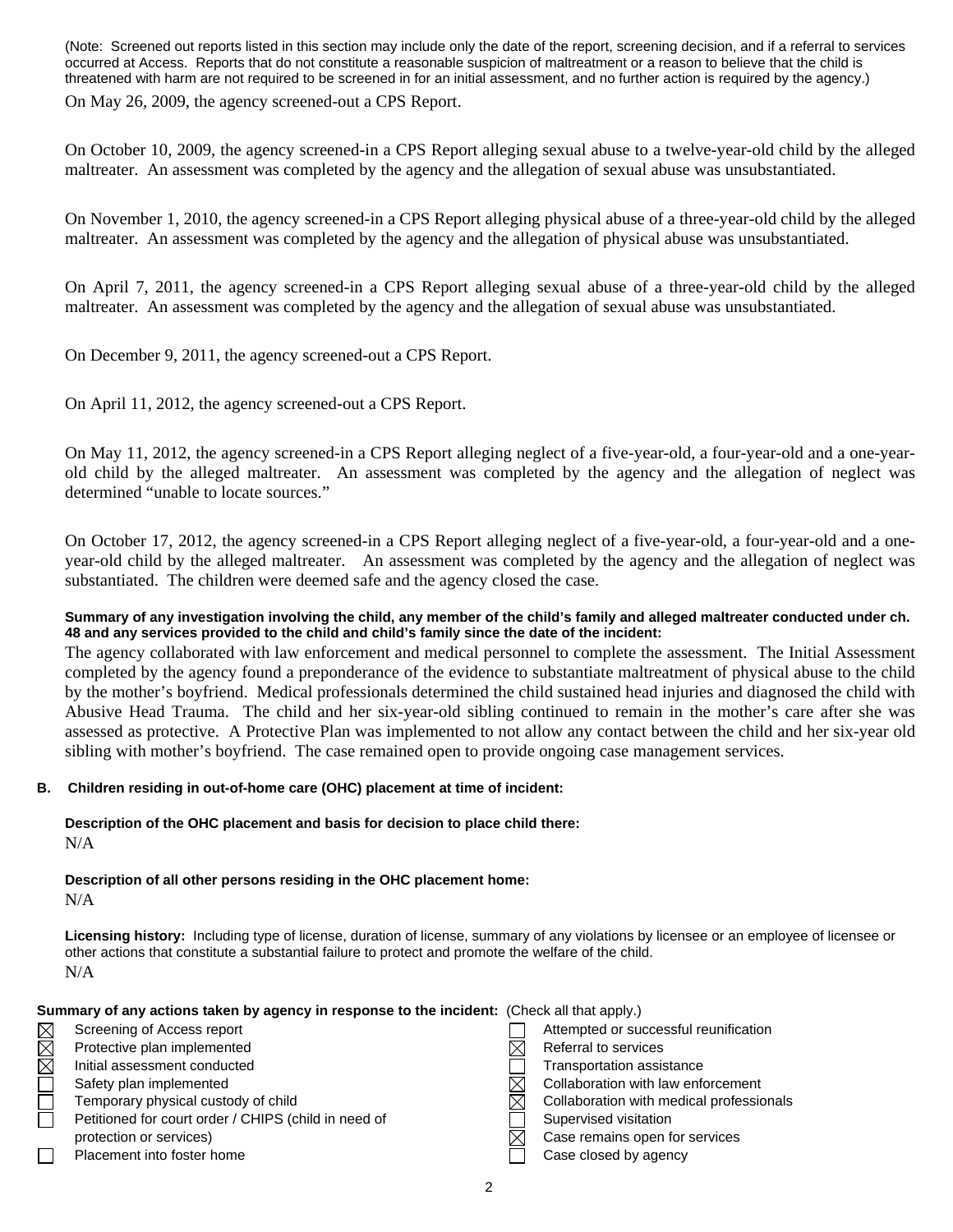(Note: Screened out reports listed in this section may include only the date of the report, screening decision, and if a referral to services occurred at Access. Reports that do not constitute a reasonable suspicion of maltreatment or a reason to believe that the child is threatened with harm are not required to be screened in for an initial assessment, and no further action is required by the agency.) On May 26, 2009, the agency screened-out a CPS Report.

On October 10, 2009, the agency screened-in a CPS Report alleging sexual abuse to a twelve-year-old child by the alleged maltreater. An assessment was completed by the agency and the allegation of sexual abuse was unsubstantiated.

On November 1, 2010, the agency screened-in a CPS Report alleging physical abuse of a three-year-old child by the alleged maltreater. An assessment was completed by the agency and the allegation of physical abuse was unsubstantiated.

On April 7, 2011, the agency screened-in a CPS Report alleging sexual abuse of a three-year-old child by the alleged maltreater. An assessment was completed by the agency and the allegation of sexual abuse was unsubstantiated.

On December 9, 2011, the agency screened-out a CPS Report.

On April 11, 2012, the agency screened-out a CPS Report.

On May 11, 2012, the agency screened-in a CPS Report alleging neglect of a five-year-old, a four-year-old and a one-yearold child by the alleged maltreater. An assessment was completed by the agency and the allegation of neglect was determined "unable to locate sources."

On October 17, 2012, the agency screened-in a CPS Report alleging neglect of a five-year-old, a four-year-old and a oneyear-old child by the alleged maltreater. An assessment was completed by the agency and the allegation of neglect was substantiated. The children were deemed safe and the agency closed the case.

#### **Summary of any investigation involving the child, any member of the child's family and alleged maltreater conducted under ch. 48 and any services provided to the child and child's family since the date of the incident:**

The agency collaborated with law enforcement and medical personnel to complete the assessment. The Initial Assessment completed by the agency found a preponderance of the evidence to substantiate maltreatment of physical abuse to the child by the mother's boyfriend. Medical professionals determined the child sustained head injuries and diagnosed the child with Abusive Head Trauma. The child and her six-year-old sibling continued to remain in the mother's care after she was assessed as protective. A Protective Plan was implemented to not allow any contact between the child and her six-year old sibling with mother's boyfriend. The case remained open to provide ongoing case management services.

## **B. Children residing in out-of-home care (OHC) placement at time of incident:**

**Description of the OHC placement and basis for decision to place child there:** N/A

**Description of all other persons residing in the OHC placement home:** N/A

**Licensing history:** Including type of license, duration of license, summary of any violations by licensee or an employee of licensee or other actions that constitute a substantial failure to protect and promote the welfare of the child. N/A

| Summary of any actions taken by agency in response to the incident: (Check all that apply.) |  |
|---------------------------------------------------------------------------------------------|--|
|---------------------------------------------------------------------------------------------|--|

| $\boxtimes$ | Screening of Access report                           | Attempted or successful reunification    |
|-------------|------------------------------------------------------|------------------------------------------|
| $\boxtimes$ | Protective plan implemented                          | Referral to services                     |
| $\boxtimes$ | Initial assessment conducted                         | Transportation assistance                |
|             | Safety plan implemented                              | Collaboration with law enforcement       |
|             | Temporary physical custody of child                  | Collaboration with medical professionals |
|             | Petitioned for court order / CHIPS (child in need of | Supervised visitation                    |
|             | protection or services)                              | Case remains open for services           |
|             | Placement into foster home                           | Case closed by agency                    |